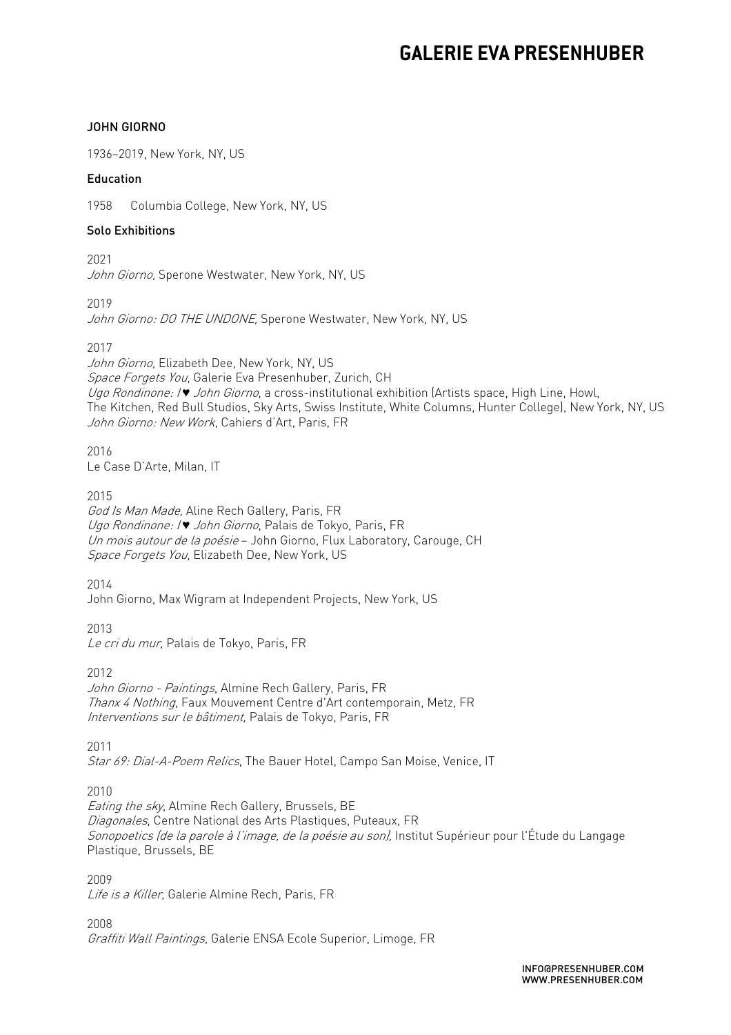#### JOHN GIORNO

1936–2019, New York, NY, US

#### Education

1958 Columbia College, New York, NY, US

#### Solo Exhibitions

 John Giorno, Sperone Westwater, New York, NY, US 2021

2019

*John Giorno: DO THE UNDONE,* Sperone Westwater, New York, NY, US

2017

*Space Forgets You*, Galerie Eva Presenhuber, Zurich, CH Ugo Rondinone: I *♥* John Giorno, a cross-institutional exhibition (Artists space, High Line, Howl, The Kitchen, Red Bull Studios, Sky Arts, Swiss Institute, White Columns, Hunter College), New York, NY, US John Giorno: New Work, Cahiers d'Art, Paris, FR John Giorno, Elizabeth Dee, New York, NY, US

2016 Le Case D'Arte, Milan, IT

2015

 God Is Man Made, Aline Rech Gallery, Paris, FR Ugo Rondinone: I *♥* John Giorno, Palais de Tokyo, Paris, FR *Un mois autour de la poésie* – John Giorno, Flux Laboratory, Carouge, CH Space Forgets You, Elizabeth Dee, New York, US

2014

John Giorno, Max Wigram at Independent Projects, New York, US

 2013 Le cri du mur, Palais de Tokyo, Paris, FR

2012

*Interventions sur le bâtiment,* Palais de Tokyo, Paris, FR John Giorno - Paintings, Almine Rech Gallery, Paris, FR Thanx 4 Nothing, Faux Mouvement Centre d'Art contemporain, Metz, FR

*Star 69: Dial-A-Poem Relics*, The Bauer Hotel, Campo San Moise, Venice, IT 2011

2010

*Sonopoetics (de la parole à l'image, de la poésie au son),* Institut Supérieur pour l'Étude du Langage Plastique, Brussels, BE Eating the sky, Almine Rech Gallery, Brussels, BE Diagonales, Centre National des Arts Plastiques, Puteaux, FR

 2009 Life is a Killer, Galerie Almine Rech, Paris, FR

 2008 Graffiti Wall Paintings, Galerie ENSA Ecole Superior, Limoge, FR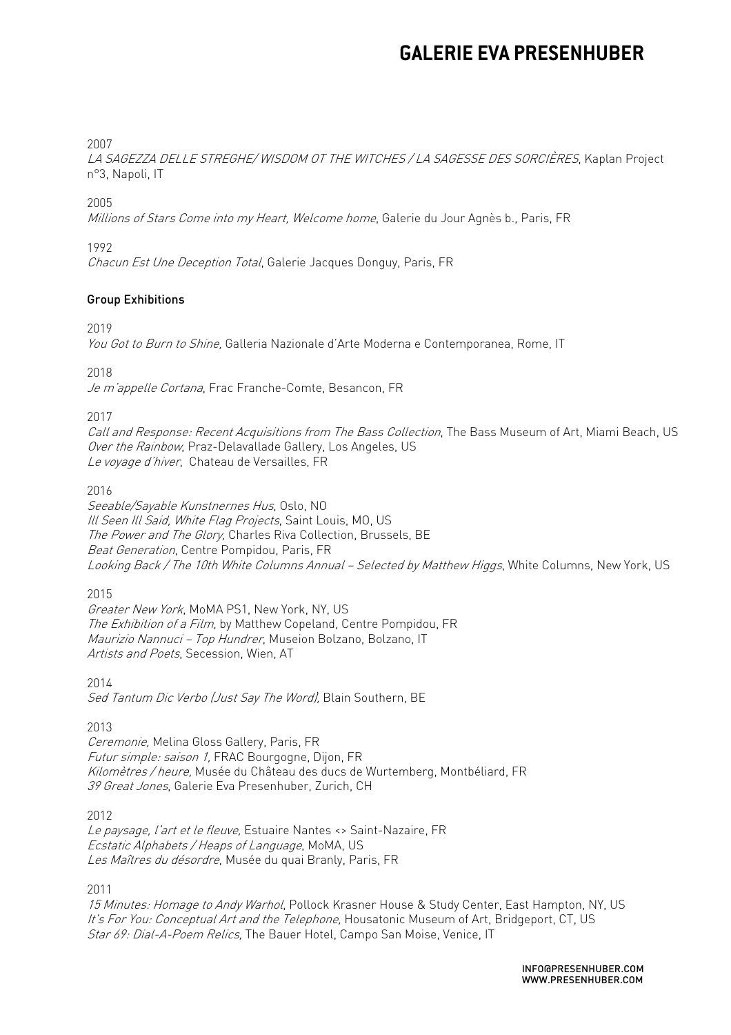#### 2007

 n°3, Napoli, IT LA SAGEZZA DELLE STREGHE/ WISDOM OT THE WITCHES / LA SAGESSE DES SORCIÈRES, Kaplan Project

#### 2005

*Millions of Stars Come into my Heart, Welcome home*, Galerie du Jour Agnès b., Paris, FR

#### 1992

Chacun Est Une Deception Total, Galerie Jacques Donguy, Paris, FR

#### Group Exhibitions

2019

You Got to Burn to Shine, Galleria Nazionale d'Arte Moderna e Contemporanea, Rome, IT

2018

*Je m'appelle Cortana*, Frac Franche-Comte, Besancon, FR

2017

 Call and Response: Recent Acquisitions from The Bass Collection, The Bass Museum of Art, Miami Beach, US Over the Rainbow, Praz-Delavallade Gallery, Los Angeles, US *Le voyage d'hiver*, Chateau de Versailles, FR<br>2016

Ill Seen Ill Said, White Flag Projects, Saint Louis, M0, US The Power and The Glory, Charles Riva Collection, Brussels, BE L*ooking Back / The 10th White Columns Annual – Selected by Matthew Higgs*, White Columns, New York, US Seeable/Sayable Kunstnernes Hus, Oslo, NO Beat Generation, Centre Pompidou, Paris, FR

2015

 Greater New York, MoMA PS1, New York, NY, US The Exhibition of a Film, by Matthew Copeland, Centre Pompidou, FR *Maurizio Nannuci – Top Hundrer*, Museion Bolzano, Bolzano, IT *Artists and Poets*, Secession, Wien, AT

2014

Sed Tantum Dic Verbo (Just Say The Word), Blain Southern, BE

2013

*Futur simple: saison 1,* FRAC Bourgogne, Dijon, FR *Kilomètres / heure,* Musée du Château des ducs de Wurtemberg, Montbéliard, FR Ceremonie, Melina Gloss Gallery, Paris, FR 39 Great Jones, Galerie Eva Presenhuber, Zurich, CH

2012

*Le paysage, l'art et le fleuve,* Estuaire Nantes <> Saint-Nazaire, FR Ecstatic Alphabets / Heaps of Language, MoMA, US *Les Maîtres du désordre*, Musée du quai Branly, Paris, FR

2011

*It's For You: Conceptual Art and the Telephone,* Housatonic Museum of Art, Bridgeport, CT, US *Star 69: Dial-A-Poem Relics,* The Bauer Hotel, Campo San Moise, Venice, IT 15 Minutes: Homage to Andy Warhol, Pollock Krasner House & Study Center, East Hampton, NY, US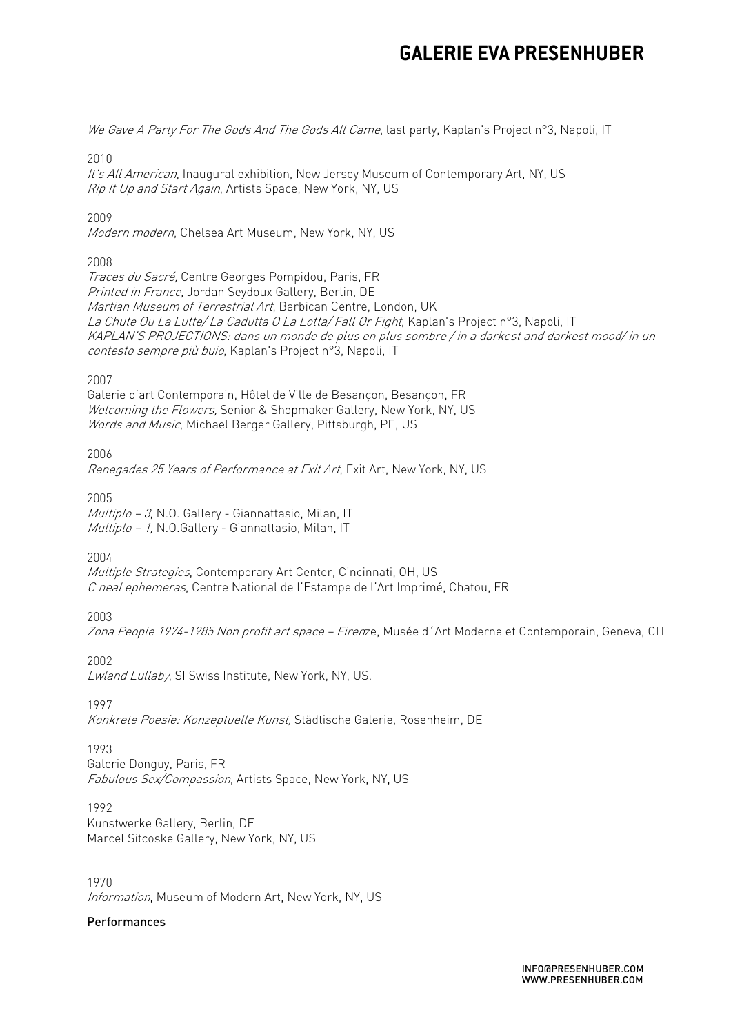*We Gave A Party For The Gods And The Gods All Came*, last party, Kaplan's Project n°3, Napoli, IT

2010

Rip It Up and Start Again, Artists Space, New York, NY, US It's All American, Inaugural exhibition, New Jersey Museum of Contemporary Art, NY, US

2009

Modern modern, Chelsea Art Museum, New York, NY, US

### 2008

 Traces du Sacré, Centre Georges Pompidou, Paris, FR *Printed in France*, Jordan Seydoux Gallery, Berlin, DE *Martian Museum of Terrestrial Art*, Barbican Centre, London, UK L*a Chute Ou La Lutte/ La Cadutta O La Lotta/ Fall Or Fight*, Kaplan's Project n°3, Napoli, IT KAPLAN'S PROJECTIONS: dans un monde de plus en plus sombre / in a darkest and darkest mood/ in un contesto sempre più buio, Kaplan's Project n°3, Napoli, IT

 $2007$ 

2007<br>Galerie d'art Contemporain, Hôtel de Ville de Besançon, Besançon, FR Welcoming the Flowers, Senior & Shopmaker Gallery, New York, NY, US Words and Music, Michael Berger Gallery, Pittsburgh, PE, US

2006

Renegades 25 Years of Performance at Exit Art, Exit Art, New York, NY, US

2005

*Multiplo – 3*, N.O. Gallery - Giannattasio, Milan, IT Multiplo - 1, N.O.Gallery - Giannattasio, Milan, IT

2004

*Multiple Strategies*, Contemporary Art Center, Cincinnati, OH, US C neal ephemeras, Centre National de l'Estampe de l'Art Imprimé, Chatou, FR

2003

*Zona People 1974-1985 Non profit art space – Firen*ze, Musée d´Art Moderne et Contemporain, Geneva, CH

2002

Lwland Lullaby, SI Swiss Institute, New York, NY, US.

1997

*Konkrete Poesie: Konzeptuelle Kunst,* Städtische Galerie, Rosenheim, DE

1993

1993<br>Galerie Donguy, Paris, FR Fabulous Sex/Compassion, Artists Space, New York, NY, US

1992 1992<br>Kunstwerke Gallery, Berlin, DE Marcel Sitcoske Gallery, New York, NY, US

1970 Information, Museum of Modern Art, New York, NY, US

### Performances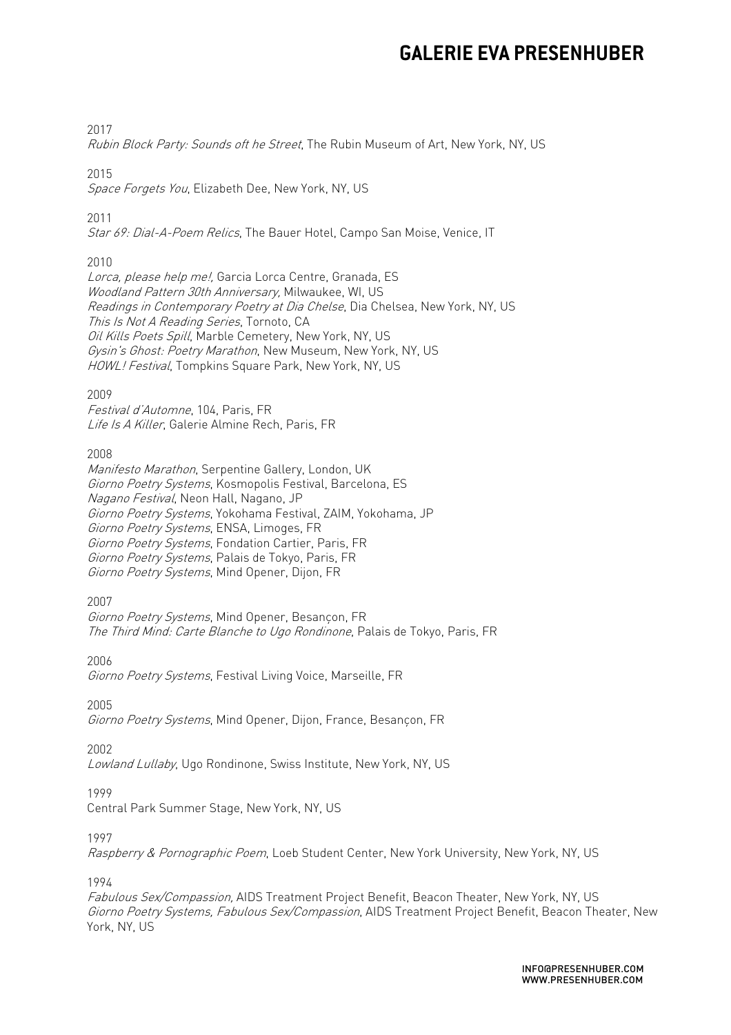#### 2017

*Rubin Block Party: Sounds oft he Street*, The Rubin Museum of Art, New York, NY, US

#### 2015

*Space Forgets You*, Elizabeth Dee, New York, NY, US

2011

*Star 69: Dial-A-Poem Relics*, The Bauer Hotel, Campo San Moise, Venice, IT

### 2010

*Lorca, please help me!,* Garcia Lorca Centre, Granada, ES Woodland Pattern 30th Anniversary, Milwaukee, WI, US *Readings in Contemporary Poetry at Dia Chelse*, Dia Chelsea, New York, NY, US This Is Not A Reading Series, Tornoto, CA Oil Kills Poets Spill, Marble Cemetery, New York, NY, US Gysin's Ghost: Poetry Marathon, New Museum, New York, NY, US HOWL! Festival, Tompkins Square Park, New York, NY, US

### 2009

Festival d'Automne, 104, Paris, FR Life Is A Killer, Galerie Almine Rech, Paris, FR

### 2008

 Giorno Poetry Systems, Kosmopolis Festival, Barcelona, ES Giorno Poetry Systems, ENSA, Limoges, FR Giorno Poetry Systems, Fondation Cartier, Paris, FR Giorno Poetry Systems, Palais de Tokyo, Paris, FR Giorno Poetry Systems, Mind Opener, Dijon, FR Manifesto Marathon, Serpentine Gallery, London, UK Nagano Festival, Neon Hall, Nagano, JP Giorno Poetry Systems, Yokohama Festival, ZAIM, Yokohama, JP

2007

Giorno Poetry Systems, Mind Opener, Besancon, FR The Third Mind: Carte Blanche to Ugo Rondinone, Palais de Tokyo, Paris, FR

2006

Giorno Poetry Systems, Festival Living Voice, Marseille, FR

2005

*Giorno Poetry Systems*, Mind Opener, Dijon, France, Besançon, FR

2002

Lowland Lullaby, Ugo Rondinone, Swiss Institute, New York, NY, US

### 1999

1999<br>Central Park Summer Stage, New York, NY, US

1997

*Raspberry & Pornographic Poem*, Loeb Student Center, New York University, New York, NY, US

1994

*Giorno Poetry Systems, Fabulous Sex/Compassion*, AIDS Treatment Project Benefit, Beacon Theater, New Fabulous Sex/Compassion, AIDS Treatment Project Benefit, Beacon Theater, New York, NY, US York, NY, US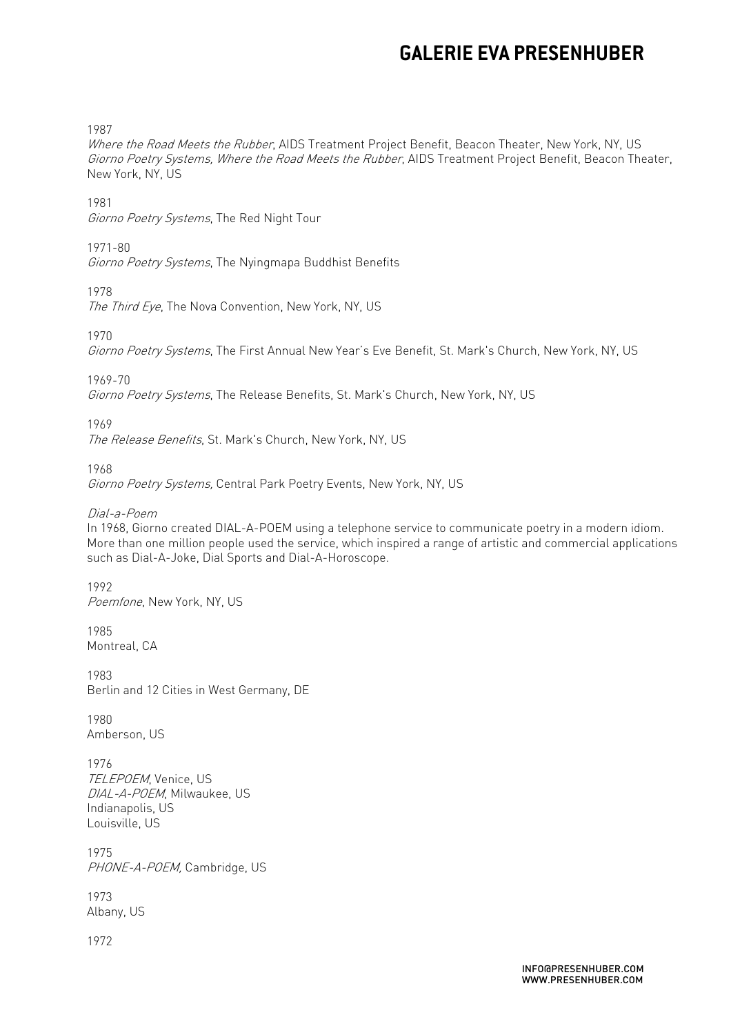1987

Where the Road Meets the Rubber, AIDS Treatment Project Benefit, Beacon Theater, New York, NY, US Giorno Poetry Systems, Where the Road Meets the Rubber, AIDS Treatment Project Benefit, Beacon Theater, New York, NY, US

1981

Giorno Poetry Systems, The Red Night Tour

1971-80

Giorno Poetry Systems, The Nyingmapa Buddhist Benefits

1978

The Third Eye, The Nova Convention, New York, NY, US

1970

Giorno Poetry Systems, The First Annual New Year's Eve Benefit, St. Mark's Church, New York, NY, US

1969-70

Giorno Poetry Systems, The Release Benefits, St. Mark's Church, New York, NY, US

1969

The Release Benefits, St. Mark's Church, New York, NY, US

1968

Giorno Poetry Systems, Central Park Poetry Events, New York, NY, US

Dial-a-Poem

 In 1968, Giorno created DIAL-A-POEM using a telephone service to communicate poetry in a modern idiom. More than one million people used the service, which inspired a range of artistic and commercial applications such as Dial-A-Joke, Dial Sports and Dial-A-Horoscope.

 1992 Poemfone, New York, NY, US

1985 Montreal, CA

1983 1983<br>Berlin and 12 Cities in West Germany, DE

1980 Amberson, US

 1976 TELEPOEM, Venice, US DIAL-A-POEM, Milwaukee, US Indianapolis, US Louisville, US

 1975 PHONE-A-POEM, Cambridge, US

1973 Albany, US

1972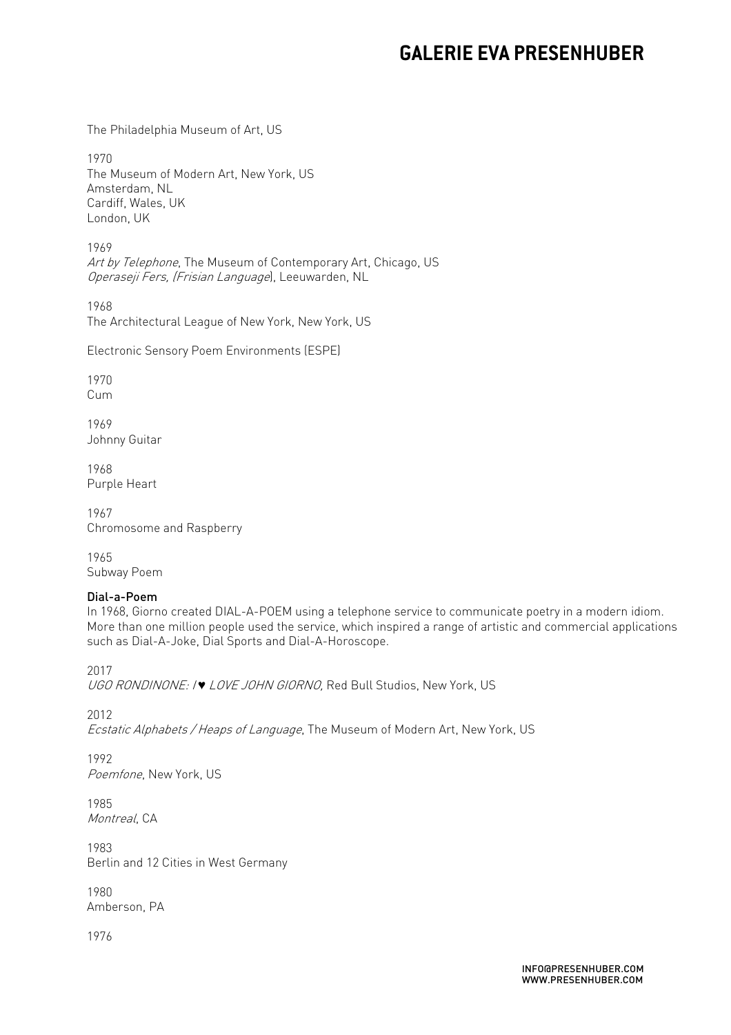The Philadelphia Museum of Art, US

1970 1970<br>The Museum of Modern Art, New York, US Cardiff, Wales, UK Amsterdam, NL London, UK

 1969 *Art by Telephone*, The Museum of Contemporary Art, Chicago, US Operaseji Fers, (Frisian Language), Leeuwarden, NL

1968 1968<br>The Architectural League of New York, New York, US

Electronic Sensory Poem Environments (ESPE)

1970 Cum

1969 Johnny Guitar

1968 Purple Heart

1967 1967<br>Chromosome and Raspberry

1965 Subway Poem

### Dial-a-Poem

 In 1968, Giorno created DIAL-A-POEM using a telephone service to communicate poetry in a modern idiom. More than one million people used the service, which inspired a range of artistic and commercial applications such as Dial-A-Joke, Dial Sports and Dial-A-Horoscope.

2017

*UGO RONDINONE: I♥ LOVE JOHN GIORNO,* Red Bull Studios, New York, US

2012

Ecstatic Alphabets / Heaps of Language, The Museum of Modern Art, New York, US

1992 Poemfone, New York, US

1985 Montreal, CA

 Berlin and 12 Cities in West Germany 1983

1980 Amberson, PA

1976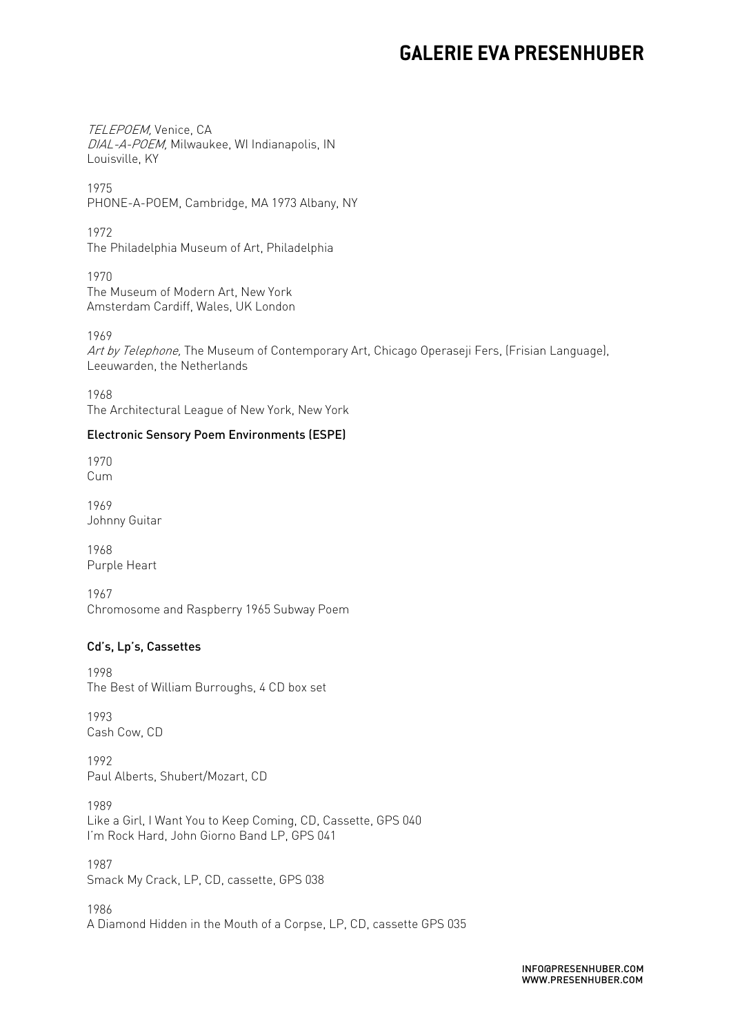*DIAL-A-POEM,* Milwaukee, WI Indianapolis, IN TELEPOEM, Venice, CA Louisville, KY

 PHONE-A-POEM, Cambridge, MA 1973 Albany, NY 1975

 The Philadelphia Museum of Art, Philadelphia 1972

 The Museum of Modern Art, New York Amsterdam Cardiff, Wales, UK London 1970

1969

*Art by Telephone,* The Museum of Contemporary Art, Chicago Operaseji Fers, (Frisian Language), Leeuwarden, the Netherlands

 The Architectural League of New York, New York 1968

#### Electronic Sensory Poem Environments (ESPE)

1970 Cum

1969 Johnny Guitar

1968 Purple Heart

 Chromosome and Raspberry 1965 Subway Poem 1967

### Cd's, Lp's, Cassettes

1998 1998<br>The Best of William Burroughs, 4 CD box set

1993 1993<br>Cash Cow, CD

1992 1992<br>Paul Alberts, Shubert/Mozart, CD

1989 1989<br>Like a Girl, I Want You to Keep Coming, CD, Cassette, GPS 040 I'm Rock Hard, John Giorno Band LP, GPS 041

1987 1987<br>Smack My Crack, LP, CD, cassette, GPS 038

1986 1986<br>A Diamond Hidden in the Mouth of a Corpse, LP, CD, cassette GPS 035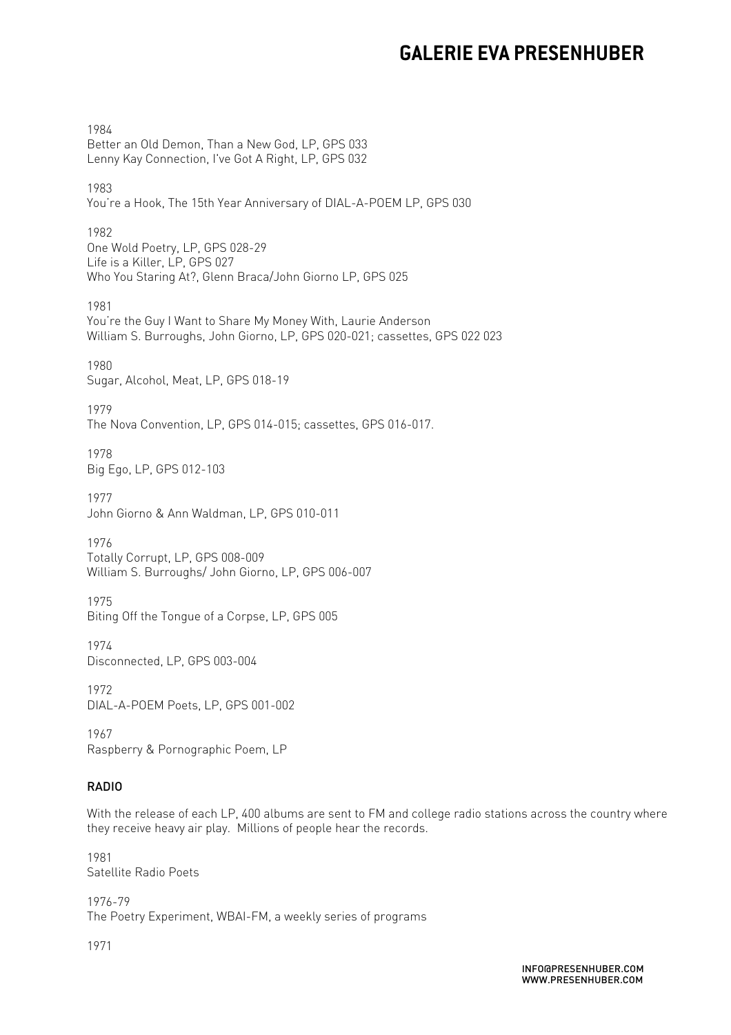1984 1984<br>Better an Old Demon, Than a New God, LP, GPS 033 Lenny Kay Connection, I've Got A Right, LP, GPS 032

1983 1983<br>You're a Hook, The 15th Year Anniversary of DIAL-A-POEM LP, GPS 030 |

1982 1982<br>One Wold Poetry, LP, GPS 028-29 Life is a Killer, LP, GPS 027 Who You Staring At?, Glenn Braca/John Giorno LP, GPS 025

1981 1981<br>You're the Guy I Want to Share My Money With, Laurie Anderson William S. Burroughs, John Giorno, LP, GPS 020-021; cassettes, GPS 022 023

1980 1980<br>Sugar, Alcohol, Meat, LP, GPS 018-19

1979 1979<br>The Nova Convention, LP, GPS 014-015; cassettes, GPS 016-017.

1978 1978<br>Big Ego, LP, GPS 012-103

1977 1977<br>John Giorno & Ann Waldman, LP, GPS 010-011

1976 1976<br>Totally Corrupt, LP, GPS 008-009 William S. Burroughs/ John Giorno, LP, GPS 006-007

1975 1975<br>Biting Off the Tongue of a Corpse, LP, GPS 005

1974 1974<br>Disconnected, LP, GPS 003-004

1972 1972<br>DIAL-A-POEM Poets, LP, GPS 001-002

1967 1967<br>Raspberry & Pornographic Poem, LP

### RADIO

 With the release of each LP, 400 albums are sent to FM and college radio stations across the country where they receive heavy air play. Millions of people hear the records.

 Satellite Radio Poets 1981

 The Poetry Experiment, WBAI-FM, a weekly series of programs 1976-79

1971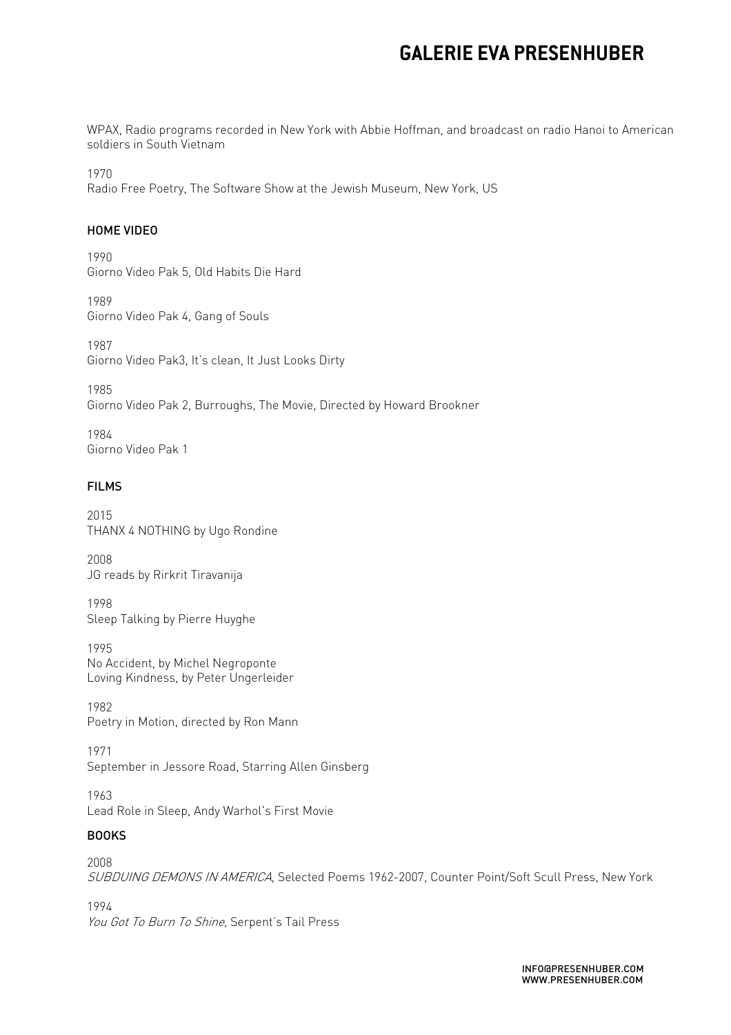WPAX, Radio programs recorded in New York with Abbie Hoffman, and broadcast on radio Hanoi to American soldiers in South Vietnam

1970

1970<br>Radio Free Poetry, The Software Show at the Jewish Museum, New York, US

#### HOME VIDEO

1990 1990<br>Giorno Video Pak 5, Old Habits Die Hard

1989 1989<br>Giorno Video Pak 4, Gang of Souls

1987 1987<br>Giorno Video Pak3, It's clean, It Just Looks Dirty

1985 1985<br>Giorno Video Pak 2, Burroughs, The Movie, Directed by Howard Brookner

1984 1984<br>Giorno Video Pak 1

### FILMS

 THANX 4 NOTHING by Ugo Rondine 2015

2008 2008<br>JG reads by Rirkrit Tiravanija

 Sleep Talking by Pierre Huyghe 1998

1995 1995<br>No Accident, by Michel Negroponte Loving Kindness, by Peter Ungerleider

1982 1982<br>Poetry in Motion, directed by Ron Mann

1971 September in Jessore Road, Starring Allen Ginsberg

1963 1963<br>Lead Role in Sleep, Andy Warhol's First Movie

### BOOKS

 SUBDUING DEMONS IN AMERICA, Selected Poems 1962-2007, Counter Point/Soft Scull Press, New York 2008 1994

You Got To Burn To Shine, Serpent's Tail Press